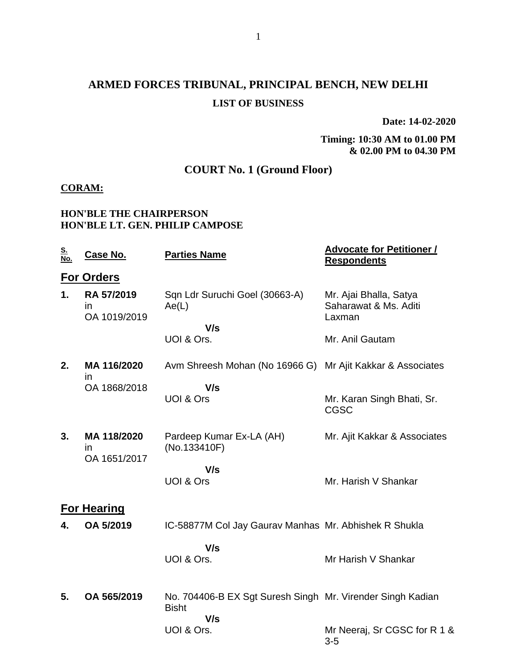## **ARMED FORCES TRIBUNAL, PRINCIPAL BENCH, NEW DELHI LIST OF BUSINESS**

**Date: 14-02-2020**

#### **Timing: 10:30 AM to 01.00 PM & 02.00 PM to 04.30 PM**

## **COURT No. 1 (Ground Floor)**

### **CORAM:**

#### **HON'BLE THE CHAIRPERSON HON'BLE LT. GEN. PHILIP CAMPOSE**

| <u>S.</u><br>No. | Case No.                                   | <b>Parties Name</b>                                                        | <b>Advocate for Petitioner /</b><br><b>Respondents</b>    |
|------------------|--------------------------------------------|----------------------------------------------------------------------------|-----------------------------------------------------------|
|                  | <b>For Orders</b>                          |                                                                            |                                                           |
| 1.               | RA 57/2019<br>$\mathsf{I}$<br>OA 1019/2019 | Sqn Ldr Suruchi Goel (30663-A)<br>Ae(L)<br>V/s                             | Mr. Ajai Bhalla, Satya<br>Saharawat & Ms. Aditi<br>Laxman |
|                  |                                            | UOI & Ors.                                                                 | Mr. Anil Gautam                                           |
| 2.               | MA 116/2020<br>in.                         | Avm Shreesh Mohan (No 16966 G)                                             | Mr Ajit Kakkar & Associates                               |
|                  | OA 1868/2018                               | V/s<br><b>UOI &amp; Ors</b>                                                | Mr. Karan Singh Bhati, Sr.<br><b>CGSC</b>                 |
| 3.               | MA 118/2020<br>in.<br>OA 1651/2017         | Pardeep Kumar Ex-LA (AH)<br>(No.133410F)                                   | Mr. Ajit Kakkar & Associates                              |
|                  |                                            | V/s<br><b>UOI &amp; Ors</b>                                                | Mr. Harish V Shankar                                      |
|                  | <b>For Hearing</b>                         |                                                                            |                                                           |
| 4.               | OA 5/2019                                  | IC-58877M Col Jay Gaurav Manhas Mr. Abhishek R Shukla                      |                                                           |
|                  |                                            | V/s<br>UOI & Ors.                                                          | Mr Harish V Shankar                                       |
| 5.               | OA 565/2019                                | No. 704406-B EX Sgt Suresh Singh Mr. Virender Singh Kadian<br><b>Bisht</b> |                                                           |
|                  |                                            | V/s<br>UOI & Ors.                                                          | Mr Neeraj, Sr CGSC for R 1 &<br>$3-5$                     |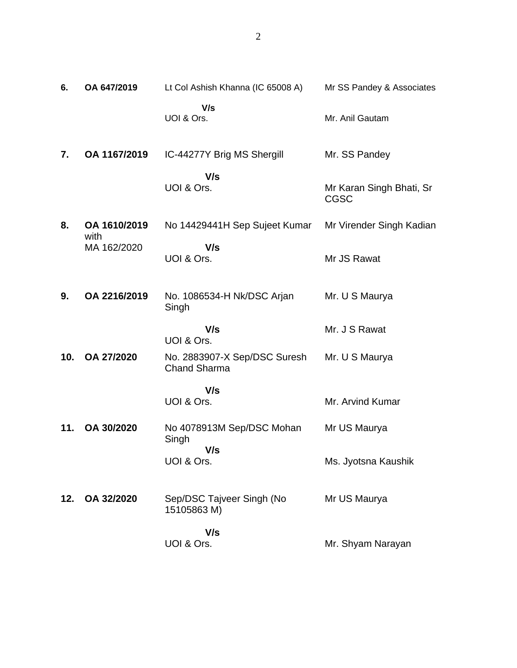| 6.  | OA 647/2019          | Lt Col Ashish Khanna (IC 65008 A)                   | Mr SS Pandey & Associates               |
|-----|----------------------|-----------------------------------------------------|-----------------------------------------|
|     |                      | V/s<br>UOI & Ors.                                   | Mr. Anil Gautam                         |
| 7.  | OA 1167/2019         | IC-44277Y Brig MS Shergill                          | Mr. SS Pandey                           |
|     |                      | V/s<br>UOI & Ors.                                   | Mr Karan Singh Bhati, Sr<br><b>CGSC</b> |
| 8.  | OA 1610/2019<br>with | No 14429441H Sep Sujeet Kumar                       | Mr Virender Singh Kadian                |
|     | MA 162/2020          | V/s<br>UOI & Ors.                                   | Mr JS Rawat                             |
| 9.  | OA 2216/2019         | No. 1086534-H Nk/DSC Arjan<br>Singh                 | Mr. U S Maurya                          |
|     |                      | V/s<br>UOI & Ors.                                   | Mr. J S Rawat                           |
| 10. | OA 27/2020           | No. 2883907-X Sep/DSC Suresh<br><b>Chand Sharma</b> | Mr. U S Maurya                          |
|     |                      | V/s<br>UOI & Ors.                                   | Mr. Arvind Kumar                        |
| 11. | OA 30/2020           | No 4078913M Sep/DSC Mohan<br>Singh                  | Mr US Maurya                            |
|     |                      | V/s<br>UOI & Ors.                                   | Ms. Jyotsna Kaushik                     |
| 12. | OA 32/2020           | Sep/DSC Tajveer Singh (No<br>15105863 M)            | Mr US Maurya                            |
|     |                      | V/s<br>UOI & Ors.                                   | Mr. Shyam Narayan                       |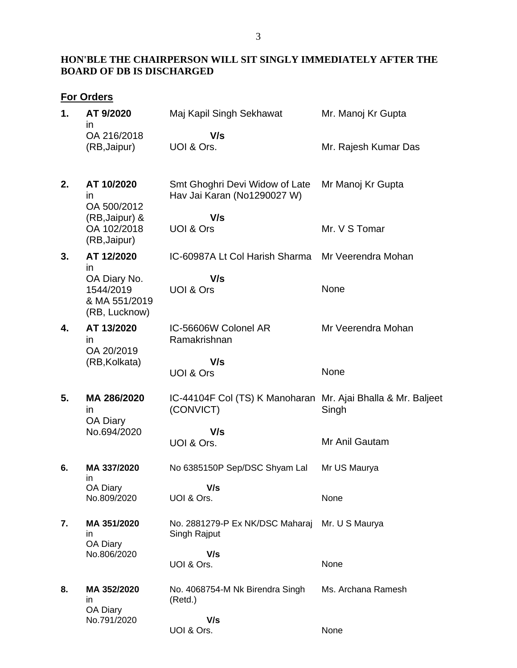### **HON'BLE THE CHAIRPERSON WILL SIT SINGLY IMMEDIATELY AFTER THE BOARD OF DB IS DISCHARGED**

## **For Orders**

| 1. | AT 9/2020                                                   | Maj Kapil Singh Sekhawat                                                  | Mr. Manoj Kr Gupta   |
|----|-------------------------------------------------------------|---------------------------------------------------------------------------|----------------------|
|    | $\mathsf{I}$<br>OA 216/2018<br>(RB, Jaipur)                 | V/s<br>UOI & Ors.                                                         | Mr. Rajesh Kumar Das |
| 2. | AT 10/2020<br>in<br>OA 500/2012                             | Smt Ghoghri Devi Widow of Late<br>Hav Jai Karan (No1290027 W)             | Mr Manoj Kr Gupta    |
|    | (RB, Jaipur) &<br>OA 102/2018<br>(RB, Jaipur)               | V/s<br>UOI & Ors                                                          | Mr. V S Tomar        |
| 3. | AT 12/2020<br>in                                            | IC-60987A Lt Col Harish Sharma                                            | Mr Veerendra Mohan   |
|    | OA Diary No.<br>1544/2019<br>& MA 551/2019<br>(RB, Lucknow) | V/s<br><b>UOI &amp; Ors</b>                                               | None                 |
| 4. | AT 13/2020<br>in<br>OA 20/2019                              | IC-56606W Colonel AR<br>Ramakrishnan                                      | Mr Veerendra Mohan   |
|    | (RB, Kolkata)                                               | V/s<br><b>UOI &amp; Ors</b>                                               | None                 |
| 5. | MA 286/2020<br>in                                           | IC-44104F Col (TS) K Manoharan Mr. Ajai Bhalla & Mr. Baljeet<br>(CONVICT) | Singh                |
|    | OA Diary<br>No.694/2020                                     | V/s                                                                       |                      |
|    |                                                             | UOI & Ors.                                                                | Mr Anil Gautam       |
| 6. | MA 337/2020<br>ın                                           | No 6385150P Sep/DSC Shyam Lal                                             | Mr US Maurya         |
|    | OA Diary<br>No.809/2020                                     | V/s<br>UOI & Ors.                                                         | None                 |
| 7. | MA 351/2020<br>in<br>OA Diary                               | No. 2881279-P Ex NK/DSC Maharaj<br>Singh Rajput                           | Mr. U S Maurya       |
|    | No.806/2020                                                 | V/s<br>UOI & Ors.                                                         | None                 |
| 8. | MA 352/2020<br>in<br>OA Diary                               | No. 4068754-M Nk Birendra Singh<br>(Retd.)                                | Ms. Archana Ramesh   |
|    | No.791/2020                                                 | V/s<br>UOI & Ors.                                                         | None                 |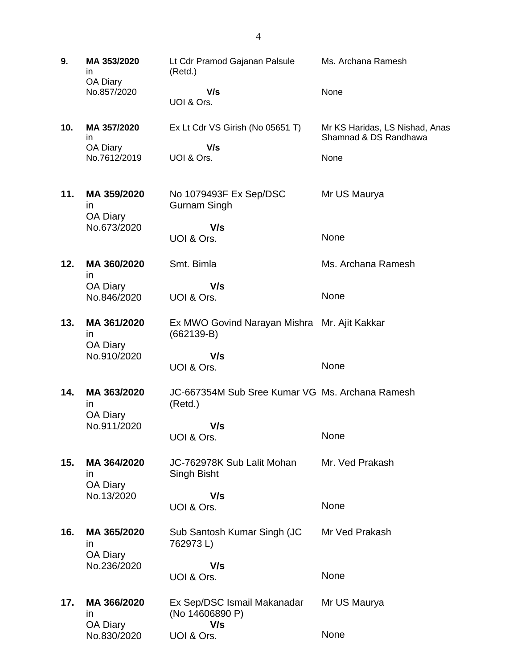**9. MA 353/2020** in OA Diary No.857/2020 Lt Cdr Pramod Gajanan Palsule (Retd.)  **V/s** UOI & Ors. Ms. Archana Ramesh None **10. MA 357/2020** in OA Diary No.7612/2019 Ex Lt Cdr VS Girish (No 05651 T)  **V/s** UOI & Ors. Mr KS Haridas, LS Nishad, Anas Shamnad & DS Randhawa None **11. MA 359/2020** in OA Diary No.673/2020 No 1079493F Ex Sep/DSC Gurnam Singh  **V/s** UOI & Ors. Mr US Maurya None **12. MA 360/2020** in OA Diary No.846/2020 Smt. Bimla  **V/s** UOI & Ors. Ms. Archana Ramesh None **13. MA 361/2020** in OA Diary No.910/2020 Ex MWO Govind Narayan Mishra Mr. Ajit Kakkar (662139-B)  **V/s** UOI & Ors. None **14. MA 363/2020** in OA Diary No.911/2020 JC-667354M Sub Sree Kumar VG Ms. Archana Ramesh (Retd.)  **V/s** UOI & Ors. None **15. MA 364/2020** in OA Diary No.13/2020 JC-762978K Sub Lalit Mohan Singh Bisht  **V/s** UOI & Ors. Mr. Ved Prakash None **16. MA 365/2020** in OA Diary No.236/2020 Sub Santosh Kumar Singh (JC 762973 L)  **V/s** UOI & Ors. Mr Ved Prakash None **17. MA 366/2020** in OA Diary No.830/2020 Ex Sep/DSC Ismail Makanadar (No 14606890 P)  **V/s** UOI & Ors. Mr US Maurya None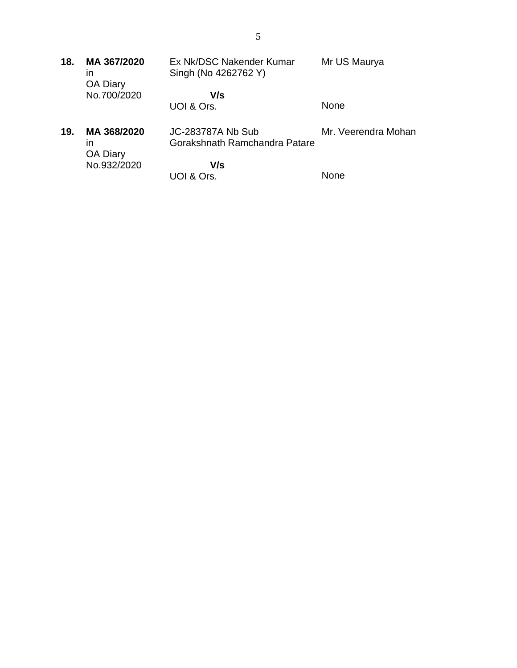| 18. | MA 367/2020<br>ın                    | Ex Nk/DSC Nakender Kumar<br>Singh (No 4262762 Y)   | Mr US Maurya        |
|-----|--------------------------------------|----------------------------------------------------|---------------------|
|     | <b>OA Diary</b><br>No.700/2020       | V/s<br>UOI & Ors.                                  | None                |
| 19. | MA 368/2020<br>ın<br><b>OA Diary</b> | JC-283787A Nb Sub<br>Gorakshnath Ramchandra Patare | Mr. Veerendra Mohan |
|     | No.932/2020                          | V/s<br>UOI & Ors.                                  | <b>None</b>         |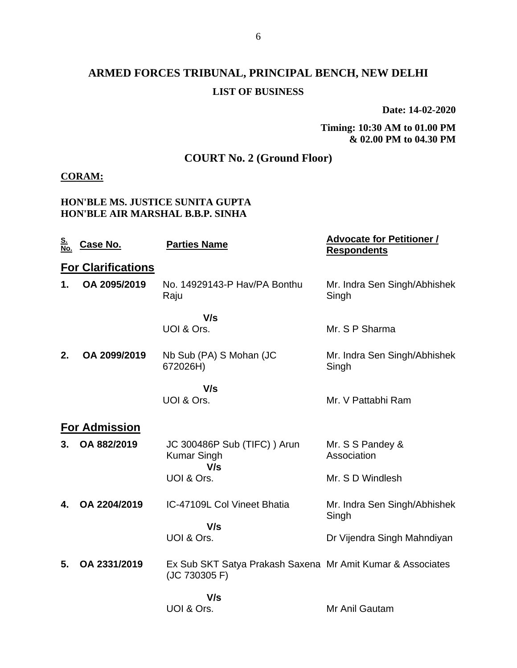## **ARMED FORCES TRIBUNAL, PRINCIPAL BENCH, NEW DELHI LIST OF BUSINESS**

**Date: 14-02-2020**

**Timing: 10:30 AM to 01.00 PM & 02.00 PM to 04.30 PM**

## **COURT No. 2 (Ground Floor)**

#### **CORAM:**

#### **HON'BLE MS. JUSTICE SUNITA GUPTA HON'BLE AIR MARSHAL B.B.P. SINHA**

| <u>S.</u><br><u>No.</u> | <u>Case No.</u>           | <b>Parties Name</b>                                                         | <b>Advocate for Petitioner /</b><br><b>Respondents</b> |
|-------------------------|---------------------------|-----------------------------------------------------------------------------|--------------------------------------------------------|
|                         | <b>For Clarifications</b> |                                                                             |                                                        |
| 1.                      | OA 2095/2019              | No. 14929143-P Hav/PA Bonthu<br>Raju                                        | Mr. Indra Sen Singh/Abhishek<br>Singh                  |
|                         |                           | V/s                                                                         |                                                        |
|                         |                           | UOI & Ors.                                                                  | Mr. S P Sharma                                         |
| 2.                      | OA 2099/2019              | Nb Sub (PA) S Mohan (JC<br>672026H)                                         | Mr. Indra Sen Singh/Abhishek<br>Singh                  |
|                         |                           | V/s<br>UOI & Ors.                                                           | Mr. V Pattabhi Ram                                     |
|                         | <b>For Admission</b>      |                                                                             |                                                        |
| 3.                      | OA 882/2019               | JC 300486P Sub (TIFC) ) Arun<br><b>Kumar Singh</b><br>V/s                   | Mr. S S Pandey &<br>Association                        |
|                         |                           | UOI & Ors.                                                                  | Mr. S D Windlesh                                       |
| 4.                      | OA 2204/2019              | IC-47109L Col Vineet Bhatia                                                 | Mr. Indra Sen Singh/Abhishek<br>Singh                  |
|                         |                           | V/s<br>UOI & Ors.                                                           | Dr Vijendra Singh Mahndiyan                            |
| 5.                      | OA 2331/2019              | Ex Sub SKT Satya Prakash Saxena Mr Amit Kumar & Associates<br>(JC 730305 F) |                                                        |
|                         |                           | V/s                                                                         |                                                        |
|                         |                           | UOI & Ors.                                                                  | Mr Anil Gautam                                         |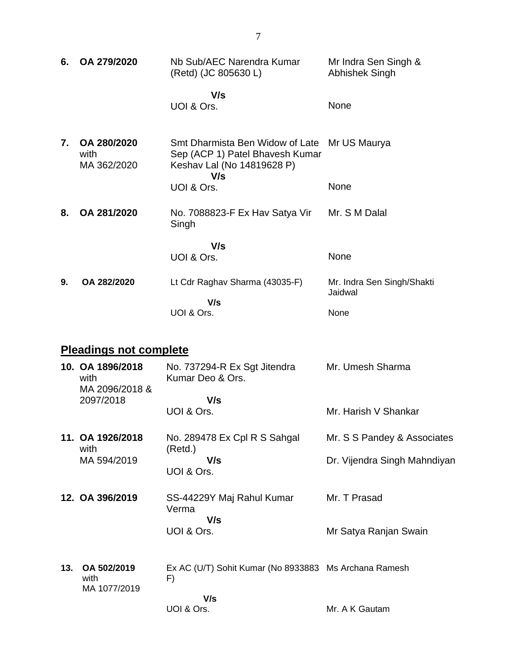| 6.                   | OA 279/2020                        | Nb Sub/AEC Narendra Kumar<br>(Retd) (JC 805630 L)                                                                    | Mr Indra Sen Singh &<br>Abhishek Singh |
|----------------------|------------------------------------|----------------------------------------------------------------------------------------------------------------------|----------------------------------------|
|                      |                                    | V/s<br>UOI & Ors.                                                                                                    | None                                   |
| $\mathbf{7}_{\cdot}$ | OA 280/2020<br>with<br>MA 362/2020 | Smt Dharmista Ben Widow of Late Mr US Maurya<br>Sep (ACP 1) Patel Bhavesh Kumar<br>Keshav Lal (No 14819628 P)<br>V/s |                                        |
|                      |                                    | UOI & Ors.                                                                                                           | None                                   |
| 8.                   | OA 281/2020                        | No. 7088823-F Ex Hav Satya Vir<br>Singh                                                                              | Mr. S M Dalal                          |
|                      |                                    | V/s<br>UOI & Ors.                                                                                                    | None                                   |
| 9.                   | OA 282/2020                        | Lt Cdr Raghav Sharma (43035-F)                                                                                       | Mr. Indra Sen Singh/Shakti<br>Jaidwal  |
|                      |                                    | V/s<br>UOI & Ors.                                                                                                    | None                                   |

# **Pleadings not complete**

|     | 10. OA 1896/2018<br>with<br>MA 2096/2018 & | No. 737294-R Ex Sgt Jitendra<br>Kumar Deo & Ors.            | Mr. Umesh Sharma             |
|-----|--------------------------------------------|-------------------------------------------------------------|------------------------------|
|     | 2097/2018                                  | V/s<br>UOI & Ors.                                           | Mr. Harish V Shankar         |
|     | 11. OA 1926/2018<br>with                   | No. 289478 Ex Cpl R S Sahgal                                | Mr. S S Pandey & Associates  |
|     | MA 594/2019                                | (Retd.)<br>V/s<br>UOI & Ors.                                | Dr. Vijendra Singh Mahndiyan |
|     | 12. OA 396/2019                            | SS-44229Y Maj Rahul Kumar<br>Verma<br>V/s                   | Mr. T Prasad                 |
|     |                                            | UOI & Ors.                                                  | Mr Satya Ranjan Swain        |
| 13. | OA 502/2019<br>with<br>MA 1077/2019        | Ex AC (U/T) Sohit Kumar (No 8933883 Ms Archana Ramesh<br>F) |                              |
|     |                                            | V/s<br>UOI & Ors.                                           | Mr. A K Gautam               |
|     |                                            |                                                             |                              |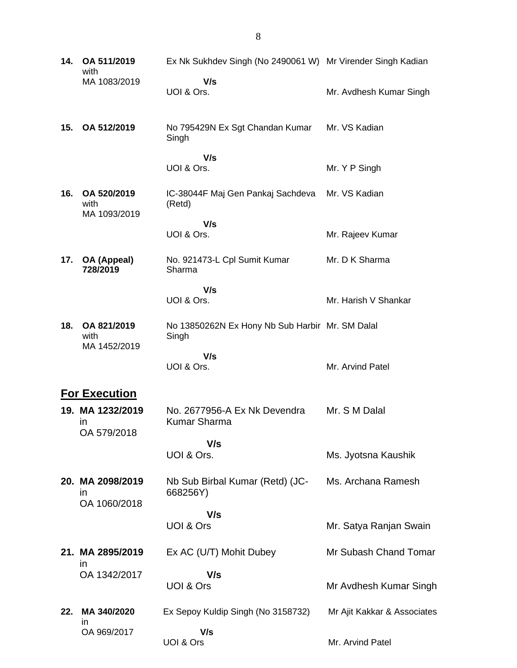| 14. | OA 511/2019<br>with                    | Ex Nk Sukhdev Singh (No 2490061 W) Mr Virender Singh Kadian |                             |
|-----|----------------------------------------|-------------------------------------------------------------|-----------------------------|
|     | MA 1083/2019                           | V/s<br>UOI & Ors.                                           | Mr. Avdhesh Kumar Singh     |
| 15. | OA 512/2019                            | No 795429N Ex Sgt Chandan Kumar<br>Singh                    | Mr. VS Kadian               |
|     |                                        | V/s<br>UOI & Ors.                                           | Mr. Y P Singh               |
| 16. | OA 520/2019<br>with<br>MA 1093/2019    | IC-38044F Maj Gen Pankaj Sachdeva<br>(Retd)                 | Mr. VS Kadian               |
|     |                                        | V/s<br>UOI & Ors.                                           | Mr. Rajeev Kumar            |
| 17. | OA (Appeal)<br>728/2019                | No. 921473-L Cpl Sumit Kumar<br>Sharma                      | Mr. D K Sharma              |
|     |                                        | V/s<br>UOI & Ors.                                           | Mr. Harish V Shankar        |
| 18. | OA 821/2019<br>with<br>MA 1452/2019    | No 13850262N Ex Hony Nb Sub Harbir Mr. SM Dalal<br>Singh    |                             |
|     |                                        | V/s<br>UOI & Ors.                                           | Mr. Arvind Patel            |
|     | <b>For Execution</b>                   |                                                             |                             |
|     | 19. MA 1232/2019<br>in<br>OA 579/2018  | No. 2677956-A Ex Nk Devendra<br><b>Kumar Sharma</b>         | Mr. S M Dalal               |
|     |                                        | V/s                                                         |                             |
|     |                                        | UOI & Ors.                                                  | Ms. Jyotsna Kaushik         |
|     | 20. MA 2098/2019<br>ın<br>OA 1060/2018 | Nb Sub Birbal Kumar (Retd) (JC-<br>668256Y)                 | Ms. Archana Ramesh          |
|     |                                        | V/s<br>UOI & Ors                                            | Mr. Satya Ranjan Swain      |
|     | 21. MA 2895/2019<br>ın                 | Ex AC (U/T) Mohit Dubey                                     | Mr Subash Chand Tomar       |
|     | OA 1342/2017                           | V/s<br>UOI & Ors                                            | Mr Avdhesh Kumar Singh      |
| 22. | MA 340/2020<br>ın                      | Ex Sepoy Kuldip Singh (No 3158732)                          | Mr Ajit Kakkar & Associates |
|     | OA 969/2017                            | V/s<br>UOI & Ors                                            | Mr. Arvind Patel            |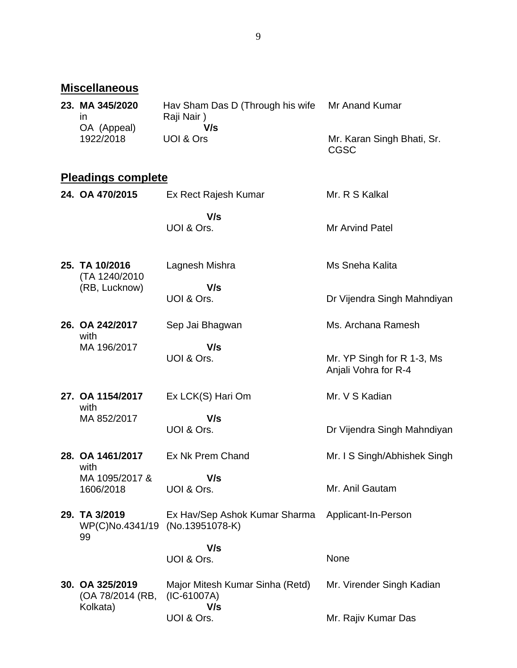# **Miscellaneous**

| 23. MA 345/2020 | Hav Sham Das D (Through his wife | Mr Anand Kumar                     |
|-----------------|----------------------------------|------------------------------------|
| ın              | Raji Nair)                       |                                    |
| OA (Appeal)     | V/s                              |                                    |
| 1922/2018       | UOI & Ors                        | Mr. Karan Singh Bhati, Sr.<br>CGSC |

# **Pleadings complete**

| 24. OA 470/2015                     | Ex Rect Rajesh Kumar                                    | Mr. R S Kalkal                                     |
|-------------------------------------|---------------------------------------------------------|----------------------------------------------------|
|                                     | V/s<br>UOI & Ors.                                       | <b>Mr Arvind Patel</b>                             |
| 25. TA 10/2016<br>(TA 1240/2010     | Lagnesh Mishra                                          | Ms Sneha Kalita                                    |
| (RB, Lucknow)                       | V/s<br>UOI & Ors.                                       | Dr Vijendra Singh Mahndiyan                        |
| 26. OA 242/2017<br>with             | Sep Jai Bhagwan                                         | Ms. Archana Ramesh                                 |
| MA 196/2017                         | V/s<br>UOI & Ors.                                       | Mr. YP Singh for R 1-3, Ms<br>Anjali Vohra for R-4 |
| 27. OA 1154/2017<br>with            | Ex LCK(S) Hari Om                                       | Mr. V S Kadian                                     |
| MA 852/2017                         | V/s<br>UOI & Ors.                                       | Dr Vijendra Singh Mahndiyan                        |
| 28. OA 1461/2017<br>with            | Ex Nk Prem Chand                                        | Mr. I S Singh/Abhishek Singh                       |
| MA 1095/2017 &<br>1606/2018         | V/s<br>UOI & Ors.                                       | Mr. Anil Gautam                                    |
| 29. TA 3/2019<br>WP(C)No.4341/19    | Ex Hav/Sep Ashok Kumar Sharma<br>(No.13951078-K)        | Applicant-In-Person                                |
| 99                                  | V/s                                                     |                                                    |
|                                     | UOI & Ors.                                              | None                                               |
| 30. OA 325/2019<br>(OA 78/2014 (RB, | Major Mitesh Kumar Sinha (Retd)<br>$(IC-61007A)$<br>V/s | Mr. Virender Singh Kadian                          |
| Kolkata)                            | UOI & Ors.                                              | Mr. Rajiv Kumar Das                                |